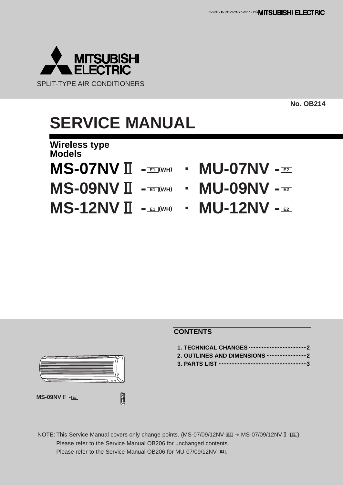

**No. OB214**

# **SERVICE MANUAL**

**Wireless type Models**

- **MS-07NV**2 **- (WH) · MU-07NV -**
	-
- 
- **MS-12NV**  $\prod$  -**E1**  $(WH)$  **· MU-12NV E2**
- **E1 E2**
- **MS-09NV**2 **- (WH) · MU-09NV - E1 E2**
	-

### **CONTENTS**

**1. TECHNICAL CHANGES ····································2 2. OUTLINES AND DIMENSIONS ·························2 3. PARTS LIST ·······················································3**

**NOTE: This Service Manual covers only change points. (MS-07/09/12NV-E2 → MS-07/09/12NV II - E1)** Please refer to the Service Manual OB206 for unchanged contents. Please refer to the Service Manual OB206 for MU-07/09/12NV-[E2].

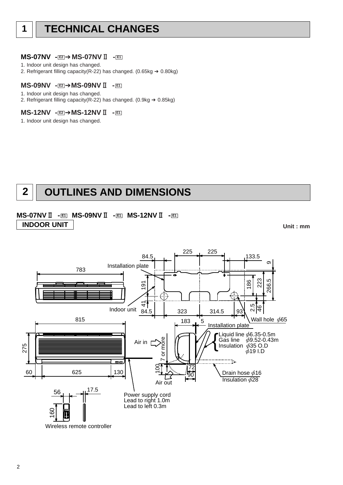#### **MS-07NV - E2<sup>1</sup> > MS-07NV II - E1**

- 1. Indoor unit design has changed.
- 2. Refrigerant filling capacity(R-22) has changed. (0.65kg  $\rightarrow$  0.80kg)

#### **MS-09NV - E2 → MS-09NV II - E1**

- 1. Indoor unit design has changed.
- 2. Refrigerant filling capacity( $R-22$ ) has changed. (0.9kg  $\rightarrow$  0.85kg)

#### **MS-12NV - E2 → MS-12NV II - E1**

1. Indoor unit design has changed.

# **2 OUTLINES AND DIMENSIONS**

### **MS-07NV**2 **- E1 MS-09NV**2 **- E1 MS-12NV**2 **- E1 INDOOR UNIT**

**Unit : mm**

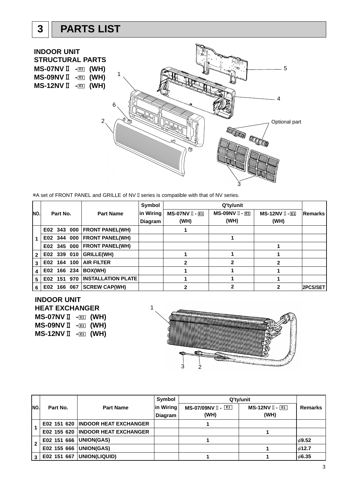# **3 PARTS LIST**

**INDOOR UNIT STRUCTURAL PARTS MS-07NV II** - **E1** (WH) 5 1 **MS-09NV II** - **E1** (WH) **MS-12NV** I **- E1 (WH)** 4 6 2 Optional part Noted to 3

\*A set of FRONT PANEL and GRILLE of NV II series is compatible with that of NV series.

|              |          |             |         |                             | Symbol    |                        |                        |                    |                |
|--------------|----------|-------------|---------|-----------------------------|-----------|------------------------|------------------------|--------------------|----------------|
| NO.          | Part No. |             |         | <b>Part Name</b>            | in Wiring | <b>MS-07NV II - E1</b> | <b>MS-09NV II - E1</b> | $MS-12NV$ $I - ET$ | <b>Remarks</b> |
|              |          |             |         |                             | Diagram   | (WH)                   | (WH)                   | (WH)               |                |
|              |          |             |         | E02 343 000 FRONT PANEL(WH) |           |                        |                        |                    |                |
|              |          | E02 344 000 |         | <b>FRONT PANEL(WH)</b>      |           |                        |                        |                    |                |
|              |          | E02 345 000 |         | <b>FRONT PANEL(WH)</b>      |           |                        |                        |                    |                |
| $\mathbf{2}$ |          | E02 339 010 |         | GRILLE(WH)                  |           |                        |                        |                    |                |
| 3            |          | E02 164     | 100     | <b>AIR FILTER</b>           |           | 2                      |                        | 2                  |                |
| 4            |          | E02 166 234 |         | BOX(WH)                     |           |                        |                        |                    |                |
| 5            | E02      | 151         | 970     | <b>INSTALLATION PLATE</b>   |           |                        |                        |                    |                |
| 6            | E02      |             | 166 067 | <b>SCREW CAP(WH)</b>        |           |                        |                        |                    | 2PCS/SET       |

### **INDOOR UNIT**

**HEAT EXCHANGER MS-07NV II** - **E1** (WH) **MS-09NV II** - **E1** (WH) **MS-12NV** I **- E1 (WH)** 



| INO.         |             | <b>Part Name</b>                    | Symbol    | Q'ty/unit          |                         |                |  |
|--------------|-------------|-------------------------------------|-----------|--------------------|-------------------------|----------------|--|
|              | Part No.    |                                     | in Wiring | MS-07/09NV II - E1 | $MS-12NV$ $\Box$ $\Box$ | <b>Remarks</b> |  |
|              |             |                                     | Diagram   | (WH)               | (WH)                    |                |  |
|              |             | E02 151 620 INDOOR HEAT EXCHANGER   |           |                    |                         |                |  |
|              |             | E02 155 620   INDOOR HEAT EXCHANGER |           |                    |                         |                |  |
| $\mathbf{2}$ | E02 151 666 | UNION(GAS)                          |           |                    |                         | $\phi$ 9.52    |  |
|              | E02 155 666 | <b>UNION(GAS)</b>                   |           |                    |                         | 612.7          |  |
| 3            | E02 151 667 | UNION(LIQUID)                       |           |                    |                         | $\phi$ 6.35    |  |